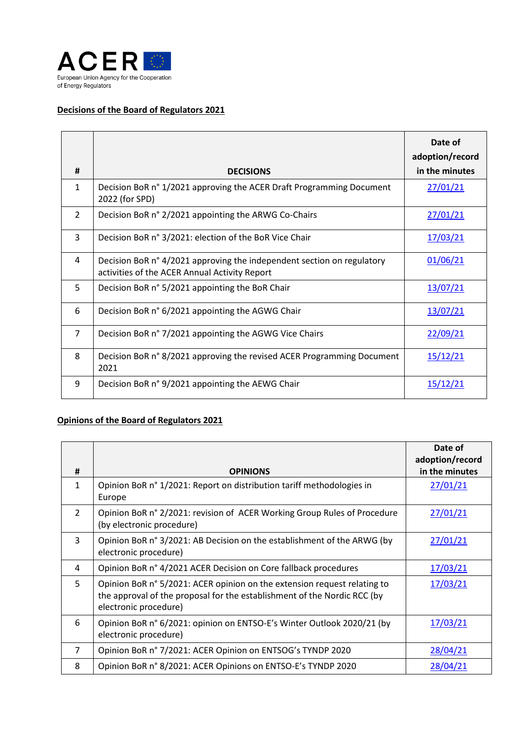

## **Decisions of the Board of Regulators 2021**

| #              | <b>DECISIONS</b>                                                                                                        | Date of<br>adoption/record<br>in the minutes |
|----------------|-------------------------------------------------------------------------------------------------------------------------|----------------------------------------------|
| $\mathbf{1}$   | Decision BoR n° 1/2021 approving the ACER Draft Programming Document<br>2022 (for SPD)                                  | 27/01/21                                     |
| $\overline{2}$ | Decision BoR n° 2/2021 appointing the ARWG Co-Chairs                                                                    | 27/01/21                                     |
| 3              | Decision BoR n° 3/2021: election of the BoR Vice Chair                                                                  | 17/03/21                                     |
| 4              | Decision BoR n° 4/2021 approving the independent section on regulatory<br>activities of the ACER Annual Activity Report | 01/06/21                                     |
| 5              | Decision BoR n° 5/2021 appointing the BoR Chair                                                                         | 13/07/21                                     |
| 6              | Decision BoR n° 6/2021 appointing the AGWG Chair                                                                        | 13/07/21                                     |
| $\overline{7}$ | Decision BoR n° 7/2021 appointing the AGWG Vice Chairs                                                                  | 22/09/21                                     |
| 8              | Decision BoR n° 8/2021 approving the revised ACER Programming Document<br>2021                                          | <u>15/12/21</u>                              |
| 9              | Decision BoR n° 9/2021 appointing the AEWG Chair                                                                        | 15/12/21                                     |

## **Opinions of the Board of Regulators 2021**

|                |                                                                                                                                                                               | Date of<br>adoption/record |
|----------------|-------------------------------------------------------------------------------------------------------------------------------------------------------------------------------|----------------------------|
| #              | <b>OPINIONS</b>                                                                                                                                                               | in the minutes             |
| $\mathbf{1}$   | Opinion BoR n° 1/2021: Report on distribution tariff methodologies in<br>Europe                                                                                               | 27/01/21                   |
| $\overline{2}$ | Opinion BoR n° 2/2021: revision of ACER Working Group Rules of Procedure<br>(by electronic procedure)                                                                         | 27/01/21                   |
| 3              | Opinion BoR n° 3/2021: AB Decision on the establishment of the ARWG (by<br>electronic procedure)                                                                              | 27/01/21                   |
| 4              | Opinion BoR n° 4/2021 ACER Decision on Core fallback procedures                                                                                                               | 17/03/21                   |
| 5              | Opinion BoR n° 5/2021: ACER opinion on the extension request relating to<br>the approval of the proposal for the establishment of the Nordic RCC (by<br>electronic procedure) | 17/03/21                   |
| 6              | Opinion BoR n° 6/2021: opinion on ENTSO-E's Winter Outlook 2020/21 (by<br>electronic procedure)                                                                               | 17/03/21                   |
| $\overline{7}$ | Opinion BoR n° 7/2021: ACER Opinion on ENTSOG's TYNDP 2020                                                                                                                    | 28/04/21                   |
| 8              | Opinion BoR n° 8/2021: ACER Opinions on ENTSO-E's TYNDP 2020                                                                                                                  | 28/04/21                   |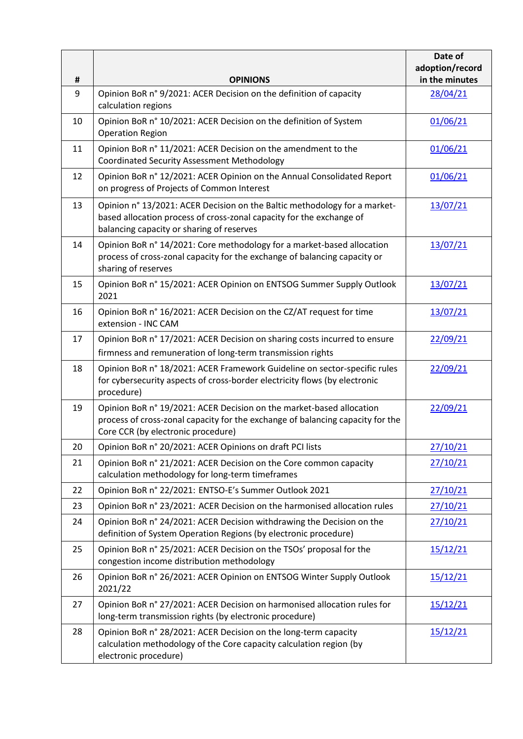|    |                                                                                                                                                                                                | Date of                           |
|----|------------------------------------------------------------------------------------------------------------------------------------------------------------------------------------------------|-----------------------------------|
| #  | <b>OPINIONS</b>                                                                                                                                                                                | adoption/record<br>in the minutes |
| 9  | Opinion BoR n° 9/2021: ACER Decision on the definition of capacity<br>calculation regions                                                                                                      | 28/04/21                          |
| 10 | Opinion BoR n° 10/2021: ACER Decision on the definition of System<br><b>Operation Region</b>                                                                                                   | 01/06/21                          |
| 11 | Opinion BoR n° 11/2021: ACER Decision on the amendment to the<br><b>Coordinated Security Assessment Methodology</b>                                                                            | 01/06/21                          |
| 12 | Opinion BoR n° 12/2021: ACER Opinion on the Annual Consolidated Report<br>on progress of Projects of Common Interest                                                                           | 01/06/21                          |
| 13 | Opinion n° 13/2021: ACER Decision on the Baltic methodology for a market-<br>based allocation process of cross-zonal capacity for the exchange of<br>balancing capacity or sharing of reserves | <u>13/07/21</u>                   |
| 14 | Opinion BoR n° 14/2021: Core methodology for a market-based allocation<br>process of cross-zonal capacity for the exchange of balancing capacity or<br>sharing of reserves                     | <u>13/07/21</u>                   |
| 15 | Opinion BoR n° 15/2021: ACER Opinion on ENTSOG Summer Supply Outlook<br>2021                                                                                                                   | 13/07/21                          |
| 16 | Opinion BoR n° 16/2021: ACER Decision on the CZ/AT request for time<br>extension - INC CAM                                                                                                     | 13/07/21                          |
| 17 | Opinion BoR n° 17/2021: ACER Decision on sharing costs incurred to ensure<br>firmness and remuneration of long-term transmission rights                                                        | 22/09/21                          |
| 18 | Opinion BoR n° 18/2021: ACER Framework Guideline on sector-specific rules<br>for cybersecurity aspects of cross-border electricity flows (by electronic<br>procedure)                          | 22/09/21                          |
| 19 | Opinion BoR n° 19/2021: ACER Decision on the market-based allocation<br>process of cross-zonal capacity for the exchange of balancing capacity for the<br>Core CCR (by electronic procedure)   | 22/09/21                          |
| 20 | Opinion BoR n° 20/2021: ACER Opinions on draft PCI lists                                                                                                                                       | 27/10/21                          |
| 21 | Opinion BoR n° 21/2021: ACER Decision on the Core common capacity<br>calculation methodology for long-term timeframes                                                                          | 27/10/21                          |
| 22 | Opinion BoR n° 22/2021: ENTSO-E's Summer Outlook 2021                                                                                                                                          | 27/10/21                          |
| 23 | Opinion BoR n° 23/2021: ACER Decision on the harmonised allocation rules                                                                                                                       | 27/10/21                          |
| 24 | Opinion BoR n° 24/2021: ACER Decision withdrawing the Decision on the<br>definition of System Operation Regions (by electronic procedure)                                                      | 27/10/21                          |
| 25 | Opinion BoR n° 25/2021: ACER Decision on the TSOs' proposal for the<br>congestion income distribution methodology                                                                              | 15/12/21                          |
| 26 | Opinion BoR n° 26/2021: ACER Opinion on ENTSOG Winter Supply Outlook<br>2021/22                                                                                                                | 15/12/21                          |
| 27 | Opinion BoR n° 27/2021: ACER Decision on harmonised allocation rules for<br>long-term transmission rights (by electronic procedure)                                                            | 15/12/21                          |
| 28 | Opinion BoR n° 28/2021: ACER Decision on the long-term capacity<br>calculation methodology of the Core capacity calculation region (by<br>electronic procedure)                                | <u>15/12/21</u>                   |